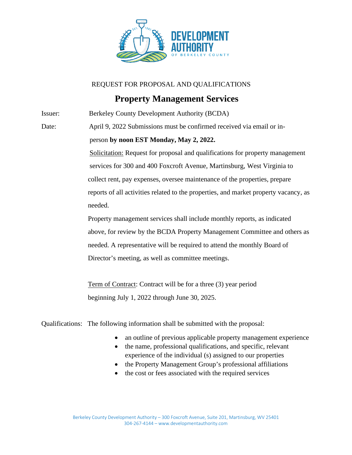

REQUEST FOR PROPOSAL AND QUALIFICATIONS

## **Property Management Services**

Issuer: Berkeley County Development Authority (BCDA)

Date: April 9, 2022 Submissions must be confirmed received via email or in-

## person **by noon EST Monday, May 2, 2022.**

 Solicitation: Request for proposal and qualifications for property management services for 300 and 400 Foxcroft Avenue, Martinsburg, West Virginia to collect rent, pay expenses, oversee maintenance of the properties, prepare reports of all activities related to the properties, and market property vacancy, as needed.

 Property management services shall include monthly reports, as indicated above, for review by the BCDA Property Management Committee and others as needed. A representative will be required to attend the monthly Board of Director's meeting, as well as committee meetings.

 Term of Contract: Contract will be for a three (3) year period beginning July 1, 2022 through June 30, 2025.

Qualifications: The following information shall be submitted with the proposal:

- an outline of previous applicable property management experience
- the name, professional qualifications, and specific, relevant experience of the individual (s) assigned to our properties
- the Property Management Group's professional affiliations
- the cost or fees associated with the required services